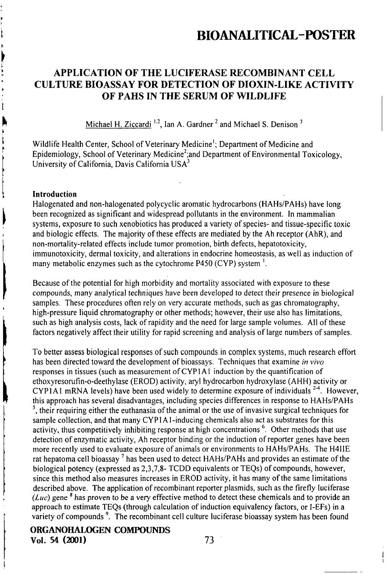## APPLICATION OF THE LUCIFERASE RECOMBINANT CELL CULTURE BIOASSAY FOR DETECTION OF DIOXIN-LIKE ACTIVITY OF PAHS IN THE SERUM OF WILDLIFE

Michael H. Ziccardi<sup>1.2</sup>, Ian A. Gardner<sup>2</sup> and Michael S. Denison<sup>3</sup>

Wildlife Health Center, School of Veterinary Medicine<sup>1</sup>; Department of Medicine and Epidemiology, School of Veterinary Medicine<sup>2</sup>;and Department of Environmental Toxicology, University of Califomia, Davis California USA''

#### Introduction

ţ

Halogenated and non-halogenated polycyclic aromatic hydrocarbons (HAHs/PAHs) have long been recognized as significant and widespread pollutants in the environment. In mammalian systems, exposure to such xenobiotics has produced a variety of species- and tissue-specific toxic and biologic effecis. The majority of these effecis are mediated by the Ah recepior (AhR), and non-mortality-related effects include tumor promotion, birth defects, hepatotoxicity, immunotoxicity, dermal toxicity, and alterations in endocrine homeostasis, as well as induction of many metabolic enzymes such as the cytochrome P450 (CYP) system <sup>1</sup>.

Because ofthe potential for high morbidity and mortality associated with exposure to these compounds, many analytical techniques have been developed to detect their presence in biological samples. These procedures often rely on very accurate methods, such as gas chromatography, high-pressure liquid chromatography or olher methods; however, their use also has limitations, such as high analysis costs, lack of rapidity and the need for large sample volumes. All of these factors negatively affect their utility for rapid screening and analysis of large numbers of samples.

To better assess biological responses of such compounds in complex systems, much research effort has been directed toward the development of bioassays. Techniques that examine in vivo responses in tissues (such as measurement of CYPI Al induction by the quantification of ethoxyresorufin-o-deethylase (EROD) activity, aryl hydrocarbon hydroxylase (AHH) activity or CYP1A1 mRNA levels) have been used widely to determine exposure of individuals  $^{2-4}$ . However, this approach has several disadvantages, including species differences in response to HAHs/PAHs  $<sup>5</sup>$ , their requiring either the euthanasia of the animal or the use of invasive surgical techniques for</sup> sample collection, and that many CYP1A1-inducing chemicals also act as substrates for this activity, thus competitively inhibiting response at high concentrations <sup>6</sup>. Other methods that use detection of enzymatic activity, Ah receptor binding or the induction of reporter genes have been more recenlly used to evaluate exposure of animals or environments to HAHs/PAHs. The H411E rat hepatoma cell bioassay<sup>7</sup> has been used to detect HAHs/PAHs and provides an estimate of the biological potency (expressed as 2,3,7,8- TCDD equivalents or TEQs) of compounds, however, since this method also measures increases in EROD activity, it has many of the same limitations described above. The application of recombinant reporter plasmids, such as the firefly luciferase (*Luc*) gene  $\delta$  has proven to be a very effective method to detect these chemicals and to provide an approach to estimate TEQs (Ihrough calculation of induction equivalency factors, or I-EFs) in a variety of compounds<sup>9</sup>. The recombinant cell culture luciferase bioassay system has been found

ORGANOHALOGEN COMPOUNDS Vol. 54 (2001) 73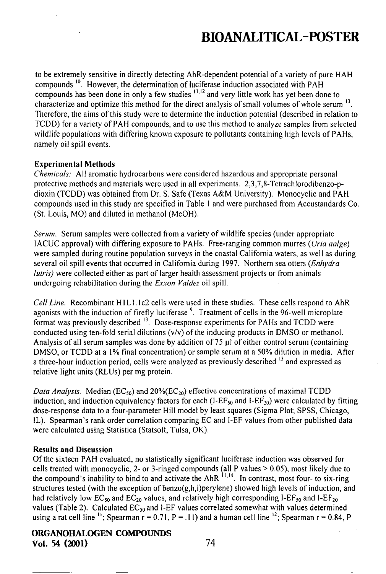to be extremely sensitive in directly detecting AhR-dependent potential of a variety of pure HAH compounds'". However, the determination of luciferase induction associated with PAH compounds has been done in only a few studies  $\frac{11}{12}$  and very little work has yet been done to characterize and optimize this method for the direct analysis of small volumes of whole serum  $^{13}$ . Therefore, the aims of this study were to determine the induction potential (described in relation to TCDD) for a variety of PAH compounds, and to use this method to analyze samples from selected wildlife populations with differing known exposure to pollutants containing high levels of PAHs. namely oil spill events.

### Experimental Methods

Chemicals: All aromatic hydrocarbons were considered hazardous and appropriate personal protective methods and materials were used in all experiments.  $2.3.7.8$ -Tetrachlorodibenzo-pdioxin (TCDD) was obtained from Dr. S. Safe (Texas A&M University). Monocyclic and PAH compounds used in this sludy are specified in Table 1 and were purchased from Accustandards Co. (St. Louis, MO) and diluted in methanol (MeOH).

Serum. Serum samples were collected from a variety of wildlife species (under appropriate IACUC approval) with differing exposure to PAHs. Free-ranging common murres (Uria aalge) were sampled during routine population surveys in the coastal California waters, as well as during several oil spill events that occurred in California during 1997. Northern sea otters (*Enhydra*  $lutris$ ) were collected either as part of larger health assessment projects or from animals undergoing rehabilitation during the Exxon Valdez oil spill.

Cell Line. Recombinant H1L1.1c2 cells were used in these studies. These cells respond to AhR agonists with the induction of firefly luciferase<sup>9</sup>. Treatment of cells in the 96-well microplate format was previously described  $^{13}$ . Dose-response experiments for PAHs and TCDD were conducted using ten-fold serial dilutions  $(v/v)$  of the inducing products in DMSO or methanol. Analysis of all serum samples was done by addition of 75  $\mu$ l of either control serum (containing DMSO, or TCDD at a 1% final concentration) or sample serum at a 50% dilution in media. After a three-hour induction period, cells were analyzed as previously described <sup>13</sup> and expressed as relative light units (RLUs) per mg protein.

Data Analysis. Median (EC<sub>50</sub>) and 20%(EC<sub>20</sub>) effective concentrations of maximal TCDD induction, and induction equivalency factors for each (I-EF<sub>50</sub> and I-EF<sub>20</sub>) were calculated by fitting dose-response data to a four-parameter Hill model by least squares (Sigma Plot; SPSS, Chicago, IL). Spearman's rank order correlation comparing EC and I-EF values from other published data were calculated using Statistica (Statsoft, Tulsa, OK).

#### Results and Discussion

Ofthe sixteen PAH evaluated, no statistically significant luciferase induction was observed for cells treated wilh monocyclic, 2- or 3-ringed compounds (all P values > 0.05), mosl likely due to the compound's inability to bind to and activate the AhR "'''. In contrast, mosl four- to six-ring structures tested (with the exception of benzo $(g,h,i)$ ) perylene) showed high levels of induction, and had relatively low  $EC_{50}$  and  $EC_{20}$  values, and relatively high corresponding I-EF<sub>50</sub> and I-EF<sub>20</sub> values (Table 2). Calculated  $EC_{50}$  and 1-EF values correlated somewhat with values determined using a rat cell line  $\frac{11}{1}$ ; Spearman r = 0.71, P = .11) and a human cell line  $\frac{12}{1}$ ; Spearman r = 0.84, P

## ORGANOHALOGEN COMPOUNDS Vol. 54 (2001) 74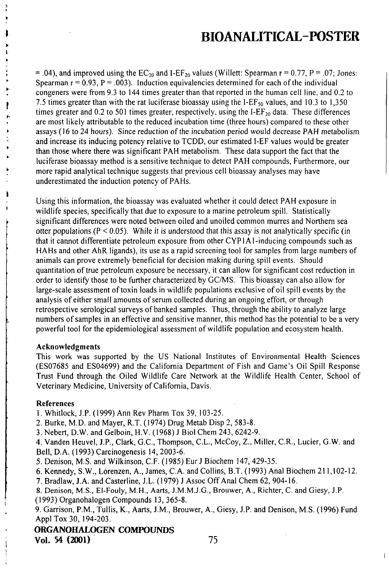= .04), and improved using the  $EC_{20}$  and I-EF<sub>20</sub> values (Willett: Spearman r = 0.77, P = .07; Jones: Spearman  $r = 0.93$ ,  $P = .003$ ). Induction equivalencies determined for each of the individual congeners were from 9.3 to 144 times greater than that reported in the human cell line, and 0.2 to 7.5 times greater than with the rat luciferase bioassay using the I-EF<sub>50</sub> values, and 10.3 to 1,350 times greater and 0.2 to 501 times greater, respectively, using the I-E $F_{20}$  data. These differences are most likely attributable to the reduced incubation time (three hours) compared to these other assays (16 to 24 hours). Since reduction of the incubation period would decrease PAH metabolism and increase its inducing potency relative to TCDD, our estimated I-EF values would be greater than those where there was significant PAH metabolism. These data support the fact that the luciferase bioassay method is a sensitive technique to detect PAH compounds, Furthermore, our more rapid analytical technique suggests that previous cell bioassay analyses may have underestimated the induction potency of PAHs.

Using this informalion, the bioassay was evaluated whelher it could delect PAH exposure in wildlife species, specifically that due to exposure to a marine petroleum spill. Statistically significant differences were noted between oiled and unoiled common murres and Northem sea otter populations ( $P \le 0.05$ ). While it is understood that this assay is not analytically specific (in that it cannot differentiate petroleum exposure from olher CYPI Al-inducing compounds such as HAHs and other AhR ligands), its use as a rapid screening tool for samples from large numbers of animals can prove extremely beneficial for decision making during spill events. Should quantitation of true petroleum exposure be necessary, it can allow for significant cost reduction in order to identify those to be further characterized by GC/MS. This bioassay can also allow for large-scale assessment of toxin loads in wildlife populations exclusive of oil spill events by the analysis of either small amounts of serum collected during an ongoing effort, or through retrospective serological surveys of banked samples. Thus, through the ability to analyze large numbers of samples in an effective and sensitive manner, this melhod has the potential to be a very powerful lool for the epidemiological assessment of wildlife population and ecosystem health.

#### Acknowledgments

This work was supported by the US National Institutes of Environmental Health Sciences (ES07685 and ES04699) and the Califomia Departmeni of Fish and Game's Oil Spill Response Trusl Fund through the Oiled Wildlife Care Network al the Wildlife Heallh Center, School of Veterinary Medicine, University of Califomia, Davis.

#### References

h

1. Whitlock, J.P. (1999) Ann Rev Pharm Tox 39, 103-25.

- 2. Burke, M.D. and Mayer, R.T. (1974) Drug Metab Disp 2, 583-8.
- 3. Nebert, D.W. and Gelboin, H.V. (1968) J Biol Chem 243, 6242-9.

4. Vanden Heuvel, J.P., Clark, G.C, Thompson, C.L., McCoy, Z., Miller, C.R., Lucier, G.W. and Bell, D.A. (1993) Carcinogenesis 14, 2003-6.

5. Denison, M.S. and Wilkinson, CF. (1985) Eur J Biochem 147, 429-35.

6. Kennedy, S.W., Lorenzen, A., James, CA. and Collins, B.T. (1993) Anal Biochem 211,102-12.

7. Bradlaw, J.A. and Casteriine, J.L. (1979) J Assoc Off Anal Chem 62, 904-16.

8. Denison, M.S., El-Fouly, M.H., Aarts, J.M.M.J.G., Brouwer, A., Richter, C. and Giesy, J.P.

(1993) Organohalogen Compounds 13, 365-8.

9. Garrison, P.M., Tullis, K., Aarts, J.M., Brouwer, A., Giesy, J.P. and Denison, M.S. (1996) Fund Appl Tox 30, 194-203.

### ORGANOHALOGEN COMPOUNDS Vol. 54 (2001) 75

 $\overline{\phantom{a}}$